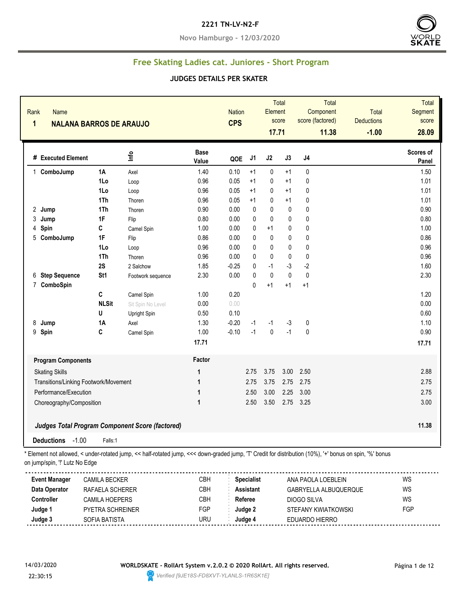#### **2221 TN-LV-N2-F**

**Novo Hamburgo - 12/03/2020**



# **Free Skating Ladies cat. Juniores - Short Program**

#### **JUDGES DETAILS PER SKATER**

| Rank<br><b>Name</b><br>1              | <b>NALANA BARROS DE ARAUJO</b> |                                                        |                      | <b>Nation</b><br><b>CPS</b> |                | Element<br>17.71 | Total<br>score | Total<br>Component<br>score (factored)<br>11.38 | Total<br><b>Deductions</b><br>$-1.00$ | Total<br>Segment<br>score<br>28.09 |
|---------------------------------------|--------------------------------|--------------------------------------------------------|----------------------|-----------------------------|----------------|------------------|----------------|-------------------------------------------------|---------------------------------------|------------------------------------|
| # Executed Element                    |                                | Info                                                   | <b>Base</b><br>Value | QOE                         | J <sub>1</sub> | J2               | J3             | J4                                              |                                       | Scores of<br>Panel                 |
| 1 ComboJump                           | <b>1A</b>                      | Axel                                                   | 1.40                 | 0.10                        | $+1$           | $\pmb{0}$        | $+1$           | 0                                               |                                       | 1.50                               |
|                                       | 1Lo                            | Loop                                                   | 0.96                 | 0.05                        | $+1$           | 0                | $+1$           | 0                                               |                                       | 1.01                               |
|                                       | 1Lo                            | Loop                                                   | 0.96                 | 0.05                        | $+1$           | 0                | $+1$           | 0                                               |                                       | 1.01                               |
|                                       | 1Th                            | Thoren                                                 | 0.96                 | 0.05                        | $+1$           | 0                | $+1$           | 0                                               |                                       | 1.01                               |
| 2 Jump                                | 1Th                            | Thoren                                                 | 0.90                 | 0.00                        | $\mathbf{0}$   | 0                | 0              | 0                                               |                                       | 0.90                               |
| 3<br>Jump                             | 1F                             | Flip                                                   | 0.80                 | 0.00                        | 0              | 0                | $\mathbf{0}$   | 0                                               |                                       | 0.80                               |
| Spin<br>4                             | C                              | Camel Spin                                             | 1.00                 | 0.00                        | 0              | $+1$             | 0              | 0                                               |                                       | 1.00                               |
| 5<br>ComboJump                        | 1F                             | Flip                                                   | 0.86                 | 0.00                        | 0              | $\pmb{0}$        | 0              | 0                                               |                                       | 0.86                               |
|                                       | 1Lo                            | Loop                                                   | 0.96                 | 0.00                        | 0              | 0                | 0              | 0                                               |                                       | 0.96                               |
|                                       | 1Th                            | Thoren                                                 | 0.96                 | 0.00                        | 0              | 0                | $\mathbf{0}$   | 0                                               |                                       | 0.96                               |
|                                       | 2S                             | 2 Salchow                                              | 1.85                 | $-0.25$                     | 0              | $-1$             | $-3$           | $-2$                                            |                                       | 1.60                               |
| <b>Step Sequence</b><br>6             | St1                            | Footwork sequence                                      | 2.30                 | 0.00                        | $\Omega$       | $\mathbf{0}$     | $\mathbf{0}$   | $\mathbf{0}$                                    |                                       | 2.30                               |
| ComboSpin<br>$\overline{7}$           |                                |                                                        |                      |                             | $\Omega$       | $+1$             | $+1$           | $+1$                                            |                                       |                                    |
|                                       | $\mathbf C$                    | Camel Spin                                             | 1.00                 | 0.20                        |                |                  |                |                                                 |                                       | 1.20                               |
|                                       | <b>NLSit</b>                   | Sit Spin No Level                                      | 0.00                 | 0.00                        |                |                  |                |                                                 |                                       | 0.00                               |
|                                       | U                              | Upright Spin                                           | 0.50                 | 0.10                        |                |                  |                |                                                 |                                       | 0.60                               |
| 8<br>Jump                             | <b>1A</b>                      | Axel                                                   | 1.30                 | $-0.20$                     | $-1$           | $-1$             | $-3$           | 0                                               |                                       | 1.10                               |
| 9<br>Spin                             | C                              | Camel Spin                                             | 1.00                 | $-0.10$                     | $-1$           | $\pmb{0}$        | $-1$           | 0                                               |                                       | 0.90                               |
|                                       |                                |                                                        | 17.71                |                             |                |                  |                |                                                 |                                       | 17.71                              |
| <b>Program Components</b>             |                                |                                                        | Factor               |                             |                |                  |                |                                                 |                                       |                                    |
| <b>Skating Skills</b>                 |                                |                                                        | 1                    |                             | 2.75           | 3.75             | 3.00           | 2.50                                            |                                       | 2.88                               |
| Transitions/Linking Footwork/Movement |                                |                                                        | $\mathbf{1}$         |                             | 2.75           | 3.75             | 2.75           | 2.75                                            |                                       | 2.75                               |
| Performance/Execution                 |                                |                                                        | $\mathbf{1}$         |                             | 2.50           | 3.00             | 2.25           | 3.00                                            |                                       | 2.75                               |
| Choreography/Composition              |                                |                                                        | 1                    |                             | 2.50           | 3.50             | 2.75           | 3.25                                            |                                       | 3.00                               |
|                                       |                                | <b>Judges Total Program Component Score (factored)</b> |                      |                             |                |                  |                |                                                 |                                       | 11.38                              |
| $-1.00$<br><b>Deductions</b>          | Falls:1                        |                                                        |                      |                             |                |                  |                |                                                 |                                       |                                    |

\* Element not allowed, < under-rotated jump, << half-rotated jump, <<< down-graded jump, 'T' Credit for distribution (10%), '+' bonus on spin, '%' bonus on jump/spin, '!' Lutz No Edge

| CBH  | <b>Specialist</b>                                                                              | ANA PAOLA LOEBLEIN    | WS  |
|------|------------------------------------------------------------------------------------------------|-----------------------|-----|
| СВН  | <b>Assistant</b>                                                                               | GABRYELLA ALBUQUERQUE | WS  |
| CBH. | Referee                                                                                        | DIOGO SILVA           | WS  |
| FGP  | Judge 2                                                                                        | STEFANY KWIATKOWSKI   | FGP |
| URU  | Judae 4                                                                                        | EDUARDO HIERRO        |     |
|      | CAMILA BECKER<br>RAFAELA SCHERER<br>CAMILA HOEPERS<br><b>PYETRA SCHREINER</b><br>SOFIA BATISTA |                       |     |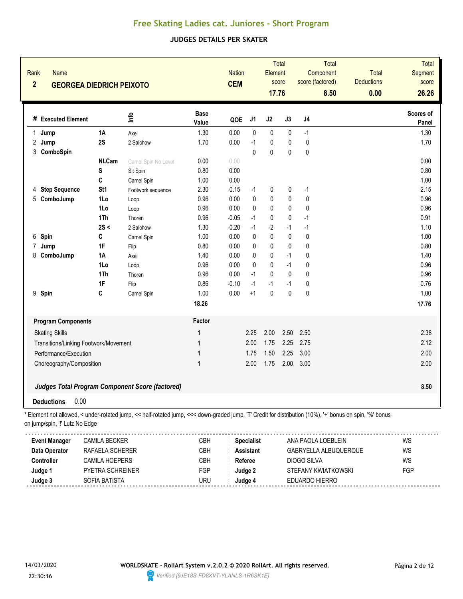#### **JUDGES DETAILS PER SKATER**

| Rank<br><b>Name</b><br>$\overline{2}$ | <b>GEORGEA DIEDRICH PEIXOTO</b>       |                                                                                                                                                          |                      | <b>Nation</b><br><b>CEM</b> |                   | Element<br>17.76 | Total<br>score | score (factored) | <b>Total</b><br>Component<br>8.50 | <b>Total</b><br><b>Deductions</b><br>0.00 | <b>Total</b><br><b>Segment</b><br>score<br>26.26 |
|---------------------------------------|---------------------------------------|----------------------------------------------------------------------------------------------------------------------------------------------------------|----------------------|-----------------------------|-------------------|------------------|----------------|------------------|-----------------------------------|-------------------------------------------|--------------------------------------------------|
| # Executed Element                    |                                       | ۴ů                                                                                                                                                       | <b>Base</b><br>Value | QOE                         | J1                | J2               | J3             | J4               |                                   |                                           | Scores of<br><b>Panel</b>                        |
| 1<br>Jump                             | 1A                                    | Axel                                                                                                                                                     | 1.30                 | 0.00                        | 0                 | $\pmb{0}$        | $\pmb{0}$      | $-1$             |                                   |                                           | 1.30                                             |
| 2<br>Jump                             | 2S                                    | 2 Salchow                                                                                                                                                | 1.70                 | 0.00                        | $-1$              | $\pmb{0}$        | 0              | $\mathbf 0$      |                                   |                                           | 1.70                                             |
| 3 ComboSpin                           |                                       |                                                                                                                                                          |                      |                             | $\mathbf{0}$      | $\mathbf{0}$     | 0              | $\mathbf 0$      |                                   |                                           |                                                  |
|                                       | <b>NLCam</b>                          | Camel Spin No Level                                                                                                                                      | 0.00                 | 0.00                        |                   |                  |                |                  |                                   |                                           | 0.00                                             |
|                                       | S                                     | Sit Spin                                                                                                                                                 | 0.80                 | 0.00                        |                   |                  |                |                  |                                   |                                           | 0.80                                             |
|                                       | C                                     | Camel Spin                                                                                                                                               | 1.00                 | 0.00                        |                   |                  |                |                  |                                   |                                           | 1.00                                             |
| 4 Step Sequence                       | St <sub>1</sub>                       | Footwork sequence                                                                                                                                        | 2.30                 | $-0.15$                     | $-1$              | 0                | 0              | $-1$             |                                   |                                           | 2.15                                             |
| 5<br>ComboJump                        | 1Lo                                   | Loop                                                                                                                                                     | 0.96                 | 0.00                        | 0                 | 0                | 0              | $\mathbf{0}$     |                                   |                                           | 0.96                                             |
|                                       | 1Lo                                   | Loop                                                                                                                                                     | 0.96                 | 0.00                        | 0                 | 0                | 0              | 0                |                                   |                                           | 0.96                                             |
|                                       | 1Th                                   | Thoren                                                                                                                                                   | 0.96                 | $-0.05$                     | $-1$              | 0                | 0              | $-1$             |                                   |                                           | 0.91                                             |
|                                       | 2S <                                  | 2 Salchow                                                                                                                                                | 1.30                 | $-0.20$                     | $-1$              | $-2$             | $-1$           | $-1$             |                                   |                                           | 1.10                                             |
| 6<br>Spin                             | C                                     | Camel Spin                                                                                                                                               | 1.00                 | 0.00                        | 0                 | $\pmb{0}$        | 0              | 0                |                                   |                                           | 1.00                                             |
| 7<br>Jump                             | 1F                                    | Flip                                                                                                                                                     | 0.80                 | 0.00                        | $\mathbf{0}$      | $\mathbf 0$      | 0              | $\mathbf{0}$     |                                   |                                           | 0.80                                             |
| ComboJump<br>8                        | 1A                                    | Axel                                                                                                                                                     | 1.40                 | 0.00                        | 0                 | $\pmb{0}$        | $-1$           | 0                |                                   |                                           | 1.40                                             |
|                                       | 1Lo                                   | Loop                                                                                                                                                     | 0.96                 | 0.00                        | $\mathbf{0}$      | $\pmb{0}$        | $-1$           | 0                |                                   |                                           | 0.96                                             |
|                                       | 1Th                                   | Thoren                                                                                                                                                   | 0.96                 | 0.00                        | $-1$              | 0                | $\mathbf 0$    | 0                |                                   |                                           | 0.96                                             |
|                                       | 1F                                    | Flip                                                                                                                                                     | 0.86                 | $-0.10$                     | $-1$              | $-1$             | $-1$           | 0                |                                   |                                           | 0.76                                             |
| 9<br>Spin                             | C                                     | Camel Spin                                                                                                                                               | 1.00                 | 0.00                        | $+1$              | $\pmb{0}$        | $\mathbf{0}$   | $\mathbf{0}$     |                                   |                                           | 1.00                                             |
|                                       |                                       |                                                                                                                                                          | 18.26                |                             |                   |                  |                |                  |                                   |                                           | 17.76                                            |
| <b>Program Components</b>             |                                       |                                                                                                                                                          | Factor               |                             |                   |                  |                |                  |                                   |                                           |                                                  |
| <b>Skating Skills</b>                 |                                       |                                                                                                                                                          | 1                    |                             | 2.25              | 2.00             | 2.50           | 2.50             |                                   |                                           | 2.38                                             |
|                                       | Transitions/Linking Footwork/Movement |                                                                                                                                                          | 1                    |                             | 2.00              | 1.75             | 2.25           | 2.75             |                                   |                                           | 2.12                                             |
| Performance/Execution                 |                                       |                                                                                                                                                          | 1                    |                             | 1.75              | 1.50             | 2.25           | 3.00             |                                   |                                           | 2.00                                             |
| Choreography/Composition              |                                       |                                                                                                                                                          | 1                    |                             | 2.00              | 1.75             | 2.00           | 3.00             |                                   |                                           | 2.00                                             |
|                                       |                                       | <b>Judges Total Program Component Score (factored)</b>                                                                                                   |                      |                             |                   |                  |                |                  |                                   |                                           | 8.50                                             |
| <b>Deductions</b>                     | 0.00                                  |                                                                                                                                                          |                      |                             |                   |                  |                |                  |                                   |                                           |                                                  |
| on jump/spin, "!' Lutz No Edge        |                                       | * Element not allowed, < under-rotated jump, << half-rotated jump, <<< down-graded jump, 'T' Credit for distribution (10%), '+' bonus on spin, '%' bonus |                      |                             |                   |                  |                |                  |                                   |                                           |                                                  |
| <b>Event Manager</b>                  | <b>CAMILA BECKER</b>                  |                                                                                                                                                          | CBH                  |                             | <b>Specialist</b> |                  |                |                  | ANA PAOLA LOEBLEIN                |                                           | WS                                               |
| Data Operator                         | RAFAELA SCHERER                       |                                                                                                                                                          | CBH                  |                             | <b>Assistant</b>  |                  |                |                  | GABRYELLA ALBUQUERQUE             |                                           | WS                                               |
| Controller                            | CAMILA HOEPERS                        |                                                                                                                                                          | CBH                  |                             | Referee           |                  |                | DIOGO SILVA      |                                   |                                           | WS                                               |



**Judge 1** PYETRA SCHREINER FGP **Judge 2** STEFANY KWIATKOWSKI FGP

**Judge 3** SOFIA BATISTA URU **Judge 4** EDUARDO HIERRO

. . . . . . . . . . . . .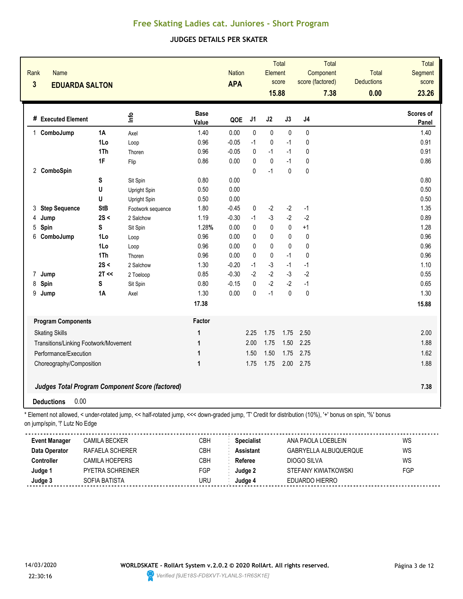#### **JUDGES DETAILS PER SKATER**

| Rank<br>$\overline{\mathbf{3}}$ | Name<br><b>EDUARDA SALTON</b>                                                                                                                                                              |                 |                   |                      | <b>Nation</b><br><b>APA</b> |                   | Element<br>15.88 | Total<br>score |                | Total<br>Component<br>score (factored)<br>7.38 | <b>Total</b><br><b>Deductions</b><br>0.00 | <b>Total</b><br><b>Segment</b><br>score<br>23.26 |
|---------------------------------|--------------------------------------------------------------------------------------------------------------------------------------------------------------------------------------------|-----------------|-------------------|----------------------|-----------------------------|-------------------|------------------|----------------|----------------|------------------------------------------------|-------------------------------------------|--------------------------------------------------|
|                                 | # Executed Element                                                                                                                                                                         | <u>lnfo</u>     |                   | <b>Base</b><br>Value | QOE                         | J1                | J2               | J3             | J <sub>4</sub> |                                                |                                           | Scores of<br>Panel                               |
| ComboJump<br>1                  | <b>1A</b>                                                                                                                                                                                  | Axel            |                   | 1.40                 | 0.00                        | 0                 | $\pmb{0}$        | $\pmb{0}$      | 0              |                                                |                                           | 1.40                                             |
|                                 | 1Lo                                                                                                                                                                                        | Loop            |                   | 0.96                 | $-0.05$                     | $-1$              | $\pmb{0}$        | $-1$           | 0              |                                                |                                           | 0.91                                             |
|                                 | 1Th                                                                                                                                                                                        | Thoren          |                   | 0.96                 | $-0.05$                     | 0                 | $-1$             | $-1$           | 0              |                                                |                                           | 0.91                                             |
|                                 | 1F                                                                                                                                                                                         | Flip            |                   | 0.86                 | 0.00                        | 0                 | $\mathbf 0$      | $-1$           | 0              |                                                |                                           | 0.86                                             |
| 2 ComboSpin                     |                                                                                                                                                                                            |                 |                   |                      |                             | $\Omega$          | $-1$             | 0              | 0              |                                                |                                           |                                                  |
|                                 | S                                                                                                                                                                                          | Sit Spin        |                   | 0.80                 | 0.00                        |                   |                  |                |                |                                                |                                           | 0.80                                             |
|                                 | U                                                                                                                                                                                          | Upright Spin    |                   | 0.50                 | 0.00                        |                   |                  |                |                |                                                |                                           | 0.50                                             |
|                                 | U                                                                                                                                                                                          | Upright Spin    |                   | 0.50                 | 0.00                        |                   |                  |                |                |                                                |                                           | 0.50                                             |
| 3                               | <b>Step Sequence</b><br><b>StB</b>                                                                                                                                                         |                 | Footwork sequence | 1.80                 | $-0.45$                     | 0                 | $-2$             | $-2$           | $-1$           |                                                |                                           | 1.35                                             |
| 4<br>Jump                       | 2S <                                                                                                                                                                                       | 2 Salchow       |                   | 1.19                 | $-0.30$                     | $-1$              | $-3$             | $-2$           | $-2$           |                                                |                                           | 0.89                                             |
| 5<br>Spin                       | S                                                                                                                                                                                          | Sit Spin        |                   | 1.28%                | 0.00                        | 0                 | 0                | $\mathbf 0$    | $+1$           |                                                |                                           | 1.28                                             |
| 6<br>ComboJump                  | 1Lo                                                                                                                                                                                        | Loop            |                   | 0.96                 | 0.00                        | 0                 | $\mathbf 0$      | 0              | 0              |                                                |                                           | 0.96                                             |
|                                 | 1Lo                                                                                                                                                                                        | Loop            |                   | 0.96                 | 0.00                        | 0                 | $\mathbf 0$      | 0              | 0              |                                                |                                           | 0.96                                             |
|                                 | 1Th                                                                                                                                                                                        | Thoren          |                   | 0.96                 | 0.00                        | 0                 | $\mathbf 0$      | $-1$           | 0              |                                                |                                           | 0.96                                             |
|                                 | 2S <                                                                                                                                                                                       | 2 Salchow       |                   | 1.30                 | $-0.20$                     | $-1$              | $-3$             | $-1$           | $-1$           |                                                |                                           | 1.10                                             |
| 7<br>Jump                       | $2T \ll$                                                                                                                                                                                   | 2 Toeloop       |                   | 0.85                 | $-0.30$                     | $-2$              | $-2$             | $-3$           | $-2$           |                                                |                                           | 0.55                                             |
| 8<br>Spin                       | S                                                                                                                                                                                          | Sit Spin        |                   | 0.80                 | $-0.15$                     | 0                 | $-2$             | $-2$           | $-1$           |                                                |                                           | 0.65                                             |
| 9<br>Jump                       | <b>1A</b>                                                                                                                                                                                  | Axel            |                   | 1.30                 | 0.00                        | 0                 | $-1$             | $\mathbf{0}$   | 0              |                                                |                                           | 1.30                                             |
|                                 |                                                                                                                                                                                            |                 |                   | 17.38                |                             |                   |                  |                |                |                                                |                                           | 15.88                                            |
|                                 | <b>Program Components</b>                                                                                                                                                                  |                 |                   | Factor               |                             |                   |                  |                |                |                                                |                                           |                                                  |
| <b>Skating Skills</b>           |                                                                                                                                                                                            |                 |                   | $\mathbf 1$          |                             | 2.25              | 1.75             | 1.75           | 2.50           |                                                |                                           | 2.00                                             |
|                                 | Transitions/Linking Footwork/Movement                                                                                                                                                      |                 |                   | 1                    |                             | 2.00              | 1.75             | 1.50           | 2.25           |                                                |                                           | 1.88                                             |
|                                 | Performance/Execution                                                                                                                                                                      |                 |                   | 1                    |                             | 1.50              | 1.50             | 1.75           | 2.75           |                                                |                                           | 1.62                                             |
|                                 | Choreography/Composition                                                                                                                                                                   |                 |                   | $\mathbf{1}$         |                             | 1.75              | 1.75             | 2.00           | 2.75           |                                                |                                           | 1.88                                             |
|                                 | <b>Judges Total Program Component Score (factored)</b>                                                                                                                                     |                 |                   |                      |                             |                   |                  |                |                |                                                |                                           | 7.38                                             |
| <b>Deductions</b>               | 0.00                                                                                                                                                                                       |                 |                   |                      |                             |                   |                  |                |                |                                                |                                           |                                                  |
|                                 | * Element not allowed, < under-rotated jump, << half-rotated jump, <<< down-graded jump, 'T' Credit for distribution (10%), '+' bonus on spin, '%' bonus<br>on jump/spin, "!' Lutz No Edge |                 |                   |                      |                             |                   |                  |                |                |                                                |                                           |                                                  |
| <b>Event Manager</b>            | <b>CAMILA BECKER</b>                                                                                                                                                                       |                 |                   | CBH                  |                             | <b>Specialist</b> |                  |                |                | ANA PAOLA LOEBLEIN                             |                                           | WS                                               |
| Data Operator                   |                                                                                                                                                                                            | RAFAELA SCHERER |                   | CBH                  |                             | <b>Assistant</b>  |                  |                |                | GABRYELLA ALBUQUERQUE                          |                                           | WS                                               |
| Controller                      |                                                                                                                                                                                            | CAMILA HOEPERS  |                   | CBH                  |                             | Referee           |                  |                | DIOGO SILVA    |                                                |                                           | WS                                               |



**Judge 1** PYETRA SCHREINER FGP **Judge 2** STEFANY KWIATKOWSKI FGP

**Judge 3** SOFIA BATISTA URU **Judge 4** EDUARDO HIERRO

<u>............</u>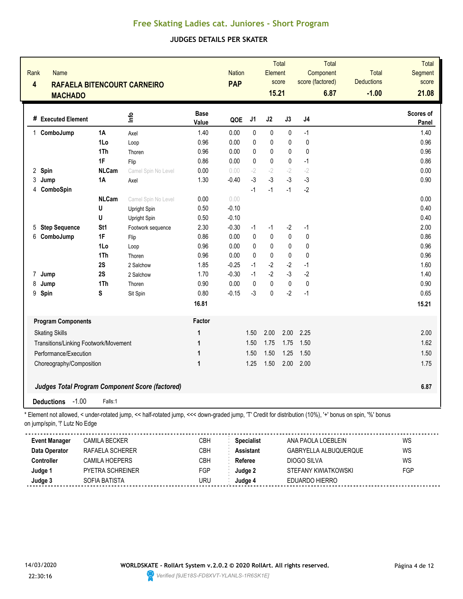#### **JUDGES DETAILS PER SKATER**

| Rank<br>$\overline{\mathbf{4}}$ | <b>Name</b><br><b>MACHADO</b>  |                                       | <b>RAFAELA BITENCOURT CARNEIRO</b>                                                                                                                     |                      | <b>Nation</b><br><b>PAP</b> |                   | Element<br>15.21 | Total<br>score | score (factored) | Total<br>Component<br>6.87 | Total<br><b>Deductions</b><br>$-1.00$ | Total<br>Segment<br>score<br>21.08 |
|---------------------------------|--------------------------------|---------------------------------------|--------------------------------------------------------------------------------------------------------------------------------------------------------|----------------------|-----------------------------|-------------------|------------------|----------------|------------------|----------------------------|---------------------------------------|------------------------------------|
|                                 | # Executed Element             |                                       | lnfo                                                                                                                                                   | <b>Base</b><br>Value | QOE                         | J1                | J2               | J3             | J <sub>4</sub>   |                            |                                       | Scores of<br>Panel                 |
|                                 | 1 ComboJump                    | 1A                                    | Axel                                                                                                                                                   | 1.40                 | 0.00                        | $\mathbf 0$       | $\pmb{0}$        | 0              | $-1$             |                            |                                       | 1.40                               |
|                                 |                                | 1Lo                                   | Loop                                                                                                                                                   | 0.96                 | 0.00                        | 0                 | $\pmb{0}$        | 0              | 0                |                            |                                       | 0.96                               |
|                                 |                                | 1Th                                   | Thoren                                                                                                                                                 | 0.96                 | 0.00                        | 0                 | $\pmb{0}$        | 0              | 0                |                            |                                       | 0.96                               |
|                                 |                                | 1F                                    | Flip                                                                                                                                                   | 0.86                 | 0.00                        | $\mathbf{0}$      | $\pmb{0}$        | 0              | $-1$             |                            |                                       | 0.86                               |
| 2 Spin                          |                                | <b>NLCam</b>                          | Camel Spin No Level                                                                                                                                    | 0.00                 | 0.00                        | $-2$              | $-2$             | $-2$           | $-2$             |                            |                                       | 0.00                               |
| 3                               | Jump                           | 1A                                    | Axel                                                                                                                                                   | 1.30                 | $-0.40$                     | $-3$              | $-3$             | $-3$           | $-3$             |                            |                                       | 0.90                               |
| 4                               | ComboSpin                      |                                       |                                                                                                                                                        |                      |                             | $-1$              | $-1$             | $-1$           | $-2$             |                            |                                       |                                    |
|                                 |                                | <b>NLCam</b>                          | Camel Spin No Level                                                                                                                                    | 0.00                 | 0.00                        |                   |                  |                |                  |                            |                                       | 0.00                               |
|                                 |                                | U                                     | Upright Spin                                                                                                                                           | 0.50                 | $-0.10$                     |                   |                  |                |                  |                            |                                       | 0.40                               |
|                                 |                                | U                                     | Upright Spin                                                                                                                                           | 0.50                 | $-0.10$                     |                   |                  |                |                  |                            |                                       | 0.40                               |
| 5                               | <b>Step Sequence</b>           | St <sub>1</sub>                       | Footwork sequence                                                                                                                                      | 2.30                 | $-0.30$                     | $-1$              | $-1$             | $-2$           | $-1$             |                            |                                       | 2.00                               |
| 6                               | ComboJump                      | 1F                                    | Flip                                                                                                                                                   | 0.86                 | 0.00                        | 0                 | $\pmb{0}$        | $\pmb{0}$      | 0                |                            |                                       | 0.86                               |
|                                 |                                | 1Lo                                   | Loop                                                                                                                                                   | 0.96                 | 0.00                        | 0                 | 0                | 0              | 0                |                            |                                       | 0.96                               |
|                                 |                                | 1Th                                   | Thoren                                                                                                                                                 | 0.96                 | 0.00                        | $\mathbf{0}$      | $\pmb{0}$        | 0              | $\mathbf 0$      |                            |                                       | 0.96                               |
|                                 |                                | 2S                                    | 2 Salchow                                                                                                                                              | 1.85                 | $-0.25$                     | $-1$              | $-2$             | $-2$           | $-1$             |                            |                                       | 1.60                               |
| 7                               | Jump                           | 2S                                    | 2 Salchow                                                                                                                                              | 1.70                 | $-0.30$                     | $-1$              | $-2$             | $-3$           | $-2$             |                            |                                       | 1.40                               |
| 8                               | Jump                           | 1Th                                   | Thoren                                                                                                                                                 | 0.90                 | 0.00                        | 0                 | $\pmb{0}$        | $\pmb{0}$      | 0                |                            |                                       | 0.90                               |
| 9                               | Spin                           | S                                     | Sit Spin                                                                                                                                               | 0.80                 | $-0.15$                     | $-3$              | 0                | $-2$           | $-1$             |                            |                                       | 0.65                               |
|                                 |                                |                                       |                                                                                                                                                        | 16.81                |                             |                   |                  |                |                  |                            |                                       | 15.21                              |
|                                 | <b>Program Components</b>      |                                       |                                                                                                                                                        | Factor               |                             |                   |                  |                |                  |                            |                                       |                                    |
|                                 | <b>Skating Skills</b>          |                                       |                                                                                                                                                        | 1                    |                             | 1.50              | 2.00             | 2.00           | 2.25             |                            |                                       | 2.00                               |
|                                 |                                | Transitions/Linking Footwork/Movement |                                                                                                                                                        | 1                    |                             | 1.50              | 1.75             | 1.75           | 1.50             |                            |                                       | 1.62                               |
|                                 | Performance/Execution          |                                       |                                                                                                                                                        | 1                    |                             | 1.50              | 1.50             | 1.25           | 1.50             |                            |                                       | 1.50                               |
|                                 | Choreography/Composition       |                                       |                                                                                                                                                        | 1                    |                             | 1.25              | 1.50             | 2.00           | 2.00             |                            |                                       | 1.75                               |
|                                 |                                |                                       | Judges Total Program Component Score (factored)                                                                                                        |                      |                             |                   |                  |                |                  |                            |                                       | 6.87                               |
|                                 | $-1.00$<br><b>Deductions</b>   | Falls:1                               |                                                                                                                                                        |                      |                             |                   |                  |                |                  |                            |                                       |                                    |
|                                 | on jump/spin, "!' Lutz No Edge |                                       | Element not allowed, < under-rotated jump, << half-rotated jump, <<< down-graded jump, 'T' Credit for distribution (10%), '+' bonus on spin, '%' bonus |                      |                             |                   |                  |                |                  |                            |                                       |                                    |
|                                 | <b>Event Manager</b>           | <b>CAMILA BECKER</b>                  |                                                                                                                                                        | CBH                  |                             | <b>Specialist</b> |                  |                |                  | ANA PAOLA LOEBLEIN         |                                       | WS                                 |
|                                 | Data Operator                  | RAFAELA SCHERER                       |                                                                                                                                                        | CBH                  |                             | <b>Assistant</b>  |                  |                |                  | GABRYELLA ALBUQUERQUE      |                                       | WS                                 |
| Controller                      |                                | CAMILA HOEPERS                        |                                                                                                                                                        | CBH                  |                             | Referee           |                  |                | DIOGO SILVA      |                            |                                       | WS                                 |



**Judge 1** PYETRA SCHREINER FGP **Judge 2** STEFANY KWIATKOWSKI FGP

**Judge 3** SOFIA BATISTA URU **Judge 4** EDUARDO HIERRO

<u>..........</u>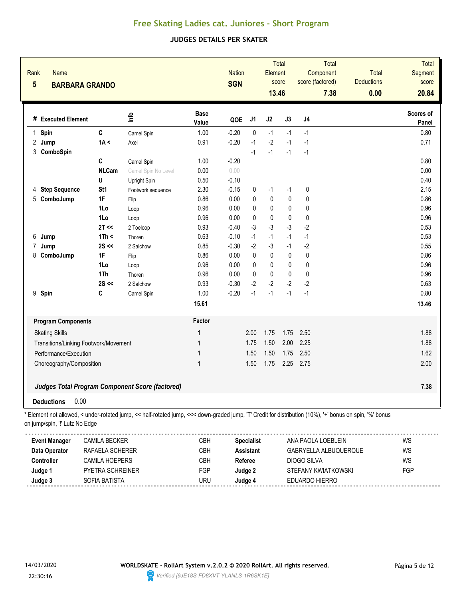### **JUDGES DETAILS PER SKATER**

| Rank<br>$5\phantom{.0}$        | <b>Name</b>               | <b>BARBARA GRANDO</b>                 |                                                                                                                                                          |                      | <b>Nation</b><br><b>SGN</b> |                   | Element<br>13.46 | Total<br>score | score (factored) | Total<br>Component<br>7.38 | Total<br><b>Deductions</b><br>0.00 | Total<br>Segment<br>score<br>20.84 |
|--------------------------------|---------------------------|---------------------------------------|----------------------------------------------------------------------------------------------------------------------------------------------------------|----------------------|-----------------------------|-------------------|------------------|----------------|------------------|----------------------------|------------------------------------|------------------------------------|
|                                | # Executed Element        |                                       | lnfo                                                                                                                                                     | <b>Base</b><br>Value | QOE                         | J1                | J2               | J3             | J4               |                            |                                    | Scores of<br>Panel                 |
| 1 Spin                         |                           | $\mathbf{C}$                          | Camel Spin                                                                                                                                               | 1.00                 | $-0.20$                     | 0                 | $-1$             | $-1$           | $-1$             |                            |                                    | 0.80                               |
| 2 Jump                         |                           | 1A <                                  | Axel                                                                                                                                                     | 0.91                 | $-0.20$                     | $-1$              | $-2$             | $-1$           | $-1$             |                            |                                    | 0.71                               |
| 3<br>ComboSpin                 |                           |                                       |                                                                                                                                                          |                      |                             | $-1$              | $-1$             | $-1$           | $-1$             |                            |                                    |                                    |
|                                |                           | C                                     | Camel Spin                                                                                                                                               | 1.00                 | $-0.20$                     |                   |                  |                |                  |                            |                                    | 0.80                               |
|                                |                           | <b>NLCam</b>                          | Camel Spin No Level                                                                                                                                      | 0.00                 | 0.00                        |                   |                  |                |                  |                            |                                    | 0.00                               |
|                                |                           | U                                     | Upright Spin                                                                                                                                             | 0.50                 | $-0.10$                     |                   |                  |                |                  |                            |                                    | 0.40                               |
| 4                              | <b>Step Sequence</b>      | St <sub>1</sub>                       | Footwork sequence                                                                                                                                        | 2.30                 | $-0.15$                     | 0                 | $-1$             | $-1$           | 0                |                            |                                    | 2.15                               |
| 5 ComboJump                    |                           | 1F                                    | Flip                                                                                                                                                     | 0.86                 | 0.00                        | 0                 | $\pmb{0}$        | 0              | 0                |                            |                                    | 0.86                               |
|                                |                           | 1Lo                                   | Loop                                                                                                                                                     | 0.96                 | 0.00                        | 0                 | 0                | 0              | 0                |                            |                                    | 0.96                               |
|                                |                           | 1Lo                                   | Loop                                                                                                                                                     | 0.96                 | 0.00                        | 0                 | 0                | 0              | 0                |                            |                                    | 0.96                               |
|                                |                           | 2T <                                  | 2 Toeloop                                                                                                                                                | 0.93                 | $-0.40$                     | $-3$              | $-3$             | $-3$           | $-2$             |                            |                                    | 0.53                               |
| 6<br>Jump                      |                           | 1Th <                                 | Thoren                                                                                                                                                   | 0.63                 | $-0.10$                     | $-1$              | $-1$             | $-1$           | $-1$             |                            |                                    | 0.53                               |
| 7<br>Jump                      |                           | $2S \ll$                              | 2 Salchow                                                                                                                                                | 0.85                 | $-0.30$                     | $-2$              | $-3$             | $-1$           | $-2$             |                            |                                    | 0.55                               |
| 8                              | ComboJump                 | 1F                                    | Flip                                                                                                                                                     | 0.86                 | 0.00                        | 0                 | $\pmb{0}$        | 0              | $\pmb{0}$        |                            |                                    | 0.86                               |
|                                |                           | 1Lo                                   | Loop                                                                                                                                                     | 0.96                 | 0.00                        | $\mathbf{0}$      | 0                | 0              | 0                |                            |                                    | 0.96                               |
|                                |                           | 1Th                                   | Thoren                                                                                                                                                   | 0.96                 | 0.00                        | 0                 | 0                | 0              | 0                |                            |                                    | 0.96                               |
|                                |                           | $2S \ll$                              | 2 Salchow                                                                                                                                                | 0.93                 | $-0.30$                     | $-2$              | $-2$             | $-2$           | $-2$             |                            |                                    | 0.63                               |
| 9 Spin                         |                           | C                                     | Camel Spin                                                                                                                                               | 1.00                 | $-0.20$                     | $-1$              | $-1$             | $-1$           | $-1$             |                            |                                    | 0.80                               |
|                                |                           |                                       |                                                                                                                                                          | 15.61                |                             |                   |                  |                |                  |                            |                                    | 13.46                              |
|                                | <b>Program Components</b> |                                       |                                                                                                                                                          | Factor               |                             |                   |                  |                |                  |                            |                                    |                                    |
| <b>Skating Skills</b>          |                           |                                       |                                                                                                                                                          | 1                    |                             | 2.00              | 1.75             | 1.75           | 2.50             |                            |                                    | 1.88                               |
|                                |                           | Transitions/Linking Footwork/Movement |                                                                                                                                                          | 1                    |                             | 1.75              | 1.50             | 2.00           | 2.25             |                            |                                    | 1.88                               |
|                                | Performance/Execution     |                                       |                                                                                                                                                          | 1                    |                             | 1.50              | 1.50             | 1.75           | 2.50             |                            |                                    | 1.62                               |
|                                | Choreography/Composition  |                                       |                                                                                                                                                          | 1                    |                             | 1.50              | 1.75             | 2.25           | 2.75             |                            |                                    | 2.00                               |
|                                |                           |                                       | <b>Judges Total Program Component Score (factored)</b>                                                                                                   |                      |                             |                   |                  |                |                  |                            |                                    | 7.38                               |
| <b>Deductions</b>              | 0.00                      |                                       |                                                                                                                                                          |                      |                             |                   |                  |                |                  |                            |                                    |                                    |
| on jump/spin, "!' Lutz No Edge |                           |                                       | * Element not allowed, < under-rotated jump, << half-rotated jump, <<< down-graded jump, 'T' Credit for distribution (10%), '+' bonus on spin, '%' bonus |                      |                             |                   |                  |                |                  |                            |                                    |                                    |
| <b>Event Manager</b>           |                           | <b>CAMILA BECKER</b>                  |                                                                                                                                                          | CBH                  |                             | <b>Specialist</b> |                  |                |                  | ANA PAOLA LOEBLEIN         |                                    | WS                                 |
| Data Operator                  |                           | RAFAELA SCHERER                       |                                                                                                                                                          | CBH                  |                             | <b>Assistant</b>  |                  |                |                  | GABRYELLA ALBUQUERQUE      |                                    | WS                                 |
| Controller                     |                           | CAMILA HOEPERS                        |                                                                                                                                                          | CBH                  |                             | Referee           |                  |                | DIOGO SILVA      |                            |                                    | WS                                 |

**Judge 1** PYETRA SCHREINER FGP **Judge 2** STEFANY KWIATKOWSKI FGP

**Judge 3** SOFIA BATISTA URU **Judge 4** EDUARDO HIERRO

........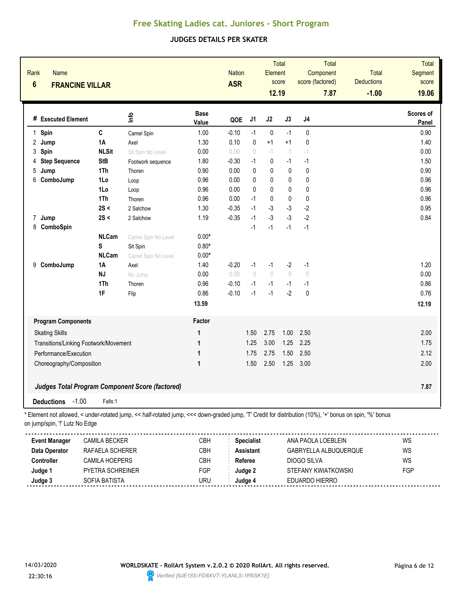#### **JUDGES DETAILS PER SKATER**

| Rank<br><b>Name</b><br>$6\phantom{1}$<br><b>FRANCINE VILLAR</b> |                      |                                                                                                                                                        |                      | <b>Nation</b><br><b>ASR</b> |                   | Element<br>12.19 | <b>Total</b><br>score | score (factored)                 | <b>Total</b><br>Component<br>7.87 | Total<br><b>Deductions</b><br>$-1.00$ | Total<br>Segment<br>score<br>19.06 |
|-----------------------------------------------------------------|----------------------|--------------------------------------------------------------------------------------------------------------------------------------------------------|----------------------|-----------------------------|-------------------|------------------|-----------------------|----------------------------------|-----------------------------------|---------------------------------------|------------------------------------|
| # Executed Element                                              |                      | lnfo                                                                                                                                                   | <b>Base</b><br>Value | QOE                         | J <sub>1</sub>    | J2               | J3                    | J <sub>4</sub>                   |                                   |                                       | Scores of<br>Panel                 |
| 1 Spin                                                          | C                    | Camel Spin                                                                                                                                             | 1.00                 | $-0.10$                     | $-1$              | $\pmb{0}$        | $-1$                  | 0                                |                                   |                                       | 0.90                               |
| 2<br>Jump                                                       | 1A                   | Axel                                                                                                                                                   | 1.30                 | 0.10                        | $\pmb{0}$         | $+1$             | $+1$                  | $\pmb{0}$                        |                                   |                                       | 1.40                               |
| Spin<br>3                                                       | <b>NLSit</b>         | Sit Spin No Level                                                                                                                                      | 0.00                 | 0.00                        | $\circ$           | $-1$             | $-1$                  | $-1$                             |                                   |                                       | 0.00                               |
| <b>Step Sequence</b><br>4                                       | <b>StB</b>           | Footwork sequence                                                                                                                                      | 1.80                 | $-0.30$                     | $-1$              | 0                | $-1$                  | $-1$                             |                                   |                                       | 1.50                               |
| 5<br>Jump                                                       | 1Th                  | Thoren                                                                                                                                                 | 0.90                 | 0.00                        | $\mathbf{0}$      | 0                | 0                     | 0                                |                                   |                                       | 0.90                               |
| 6<br>ComboJump                                                  | 1Lo                  | Loop                                                                                                                                                   | 0.96                 | 0.00                        | $\mathbf{0}$      | 0                | 0                     | $\mathbf{0}$                     |                                   |                                       | 0.96                               |
|                                                                 | 1Lo                  | Loop                                                                                                                                                   | 0.96                 | 0.00                        | $\mathbf{0}$      | 0                | 0                     | $\mathbf{0}$                     |                                   |                                       | 0.96                               |
|                                                                 | 1Th                  | Thoren                                                                                                                                                 | 0.96                 | 0.00                        | $-1$              | 0                | $\mathbf 0$           | $\mathbf 0$                      |                                   |                                       | 0.96                               |
|                                                                 | 2S <                 | 2 Salchow                                                                                                                                              | 1.30                 | $-0.35$                     | $-1$              | $-3$             | $-3$                  | $-2$                             |                                   |                                       | 0.95                               |
| 7<br>Jump                                                       | 2S <                 | 2 Salchow                                                                                                                                              | 1.19                 | $-0.35$                     | $-1$              | $-3$             | $-3$                  | $-2$                             |                                   |                                       | 0.84                               |
| 8<br>ComboSpin                                                  |                      |                                                                                                                                                        |                      |                             | $-1$              | $-1$             | $-1$                  | $-1$                             |                                   |                                       |                                    |
|                                                                 | <b>NLCam</b>         | Camel Spin No Level                                                                                                                                    | $0.00*$              |                             |                   |                  |                       |                                  |                                   |                                       |                                    |
|                                                                 | S                    | Sit Spin                                                                                                                                               | $0.80*$              |                             |                   |                  |                       |                                  |                                   |                                       |                                    |
|                                                                 | <b>NLCam</b>         | Camel Spin No Level                                                                                                                                    | $0.00*$              |                             |                   |                  |                       |                                  |                                   |                                       |                                    |
| ComboJump<br>9                                                  | <b>1A</b>            | Axel                                                                                                                                                   | 1.40                 | $-0.20$                     | $-1$              | $-1$             | $-2$                  | $-1$                             |                                   |                                       | 1.20                               |
|                                                                 | <b>NJ</b>            | No Jump                                                                                                                                                | 0.00                 | 0.00                        | $\bigcirc$        | $\bigcirc$       | $\bigcirc$            | $\begin{array}{c} \n\end{array}$ |                                   |                                       | 0.00                               |
|                                                                 | 1Th                  | Thoren                                                                                                                                                 | 0.96                 | $-0.10$                     | $-1$              | $-1$             | $-1$                  | $-1$                             |                                   |                                       | 0.86                               |
|                                                                 | 1F                   | Flip                                                                                                                                                   | 0.86                 | $-0.10$                     | $-1$              | $-1$             | $-2$                  | $\mathbf{0}$                     |                                   |                                       | 0.76                               |
|                                                                 |                      |                                                                                                                                                        | 13.59                |                             |                   |                  |                       |                                  |                                   |                                       | 12.19                              |
| <b>Program Components</b>                                       |                      |                                                                                                                                                        | Factor               |                             |                   |                  |                       |                                  |                                   |                                       |                                    |
| <b>Skating Skills</b>                                           |                      |                                                                                                                                                        | 1                    |                             | 1.50              | 2.75             | 1.00                  | 2.50                             |                                   |                                       | 2.00                               |
| Transitions/Linking Footwork/Movement                           |                      |                                                                                                                                                        | 1                    |                             | 1.25              | 3.00             | 1.25                  | 2.25                             |                                   |                                       | 1.75                               |
| Performance/Execution                                           |                      |                                                                                                                                                        | 1                    |                             | 1.75              | 2.75             | 1.50                  | 2.50                             |                                   |                                       | 2.12                               |
| Choreography/Composition                                        |                      |                                                                                                                                                        | 1                    |                             | 1.50              | 2.50             | 1.25                  | 3.00                             |                                   |                                       | 2.00                               |
|                                                                 |                      |                                                                                                                                                        |                      |                             |                   |                  |                       |                                  |                                   |                                       |                                    |
|                                                                 |                      | <b>Judges Total Program Component Score (factored)</b>                                                                                                 |                      |                             |                   |                  |                       |                                  |                                   |                                       | 7.87                               |
| $-1.00$<br><b>Deductions</b>                                    | Falls:1              |                                                                                                                                                        |                      |                             |                   |                  |                       |                                  |                                   |                                       |                                    |
| on jump/spin, "!' Lutz No Edge                                  |                      | Element not allowed, < under-rotated jump, << half-rotated jump, <<< down-graded jump, 'T' Credit for distribution (10%), '+' bonus on spin, '%' bonus |                      |                             |                   |                  |                       |                                  |                                   |                                       |                                    |
| <b>Event Manager</b>                                            | <b>CAMILA BECKER</b> |                                                                                                                                                        | CBH                  |                             | <b>Specialist</b> |                  |                       |                                  | ANA PAOLA LOEBLEIN                |                                       | WS                                 |
| Data Operator                                                   | RAFAELA SCHERER      |                                                                                                                                                        | CBH                  |                             | <b>Assistant</b>  |                  |                       |                                  | GABRYELLA ALBUQUERQUE             |                                       | WS                                 |
| Controller                                                      | CAMILA HOEPERS       |                                                                                                                                                        | CBH                  |                             | Referee           |                  |                       | <b>DIOGO SILVA</b>               |                                   |                                       | WS                                 |



**Judge 1** PYETRA SCHREINER FGP **Judge 2** STEFANY KWIATKOWSKI FGP

**Judge 3** SOFIA BATISTA URU **Judge 4** EDUARDO HIERRO

<u>............</u>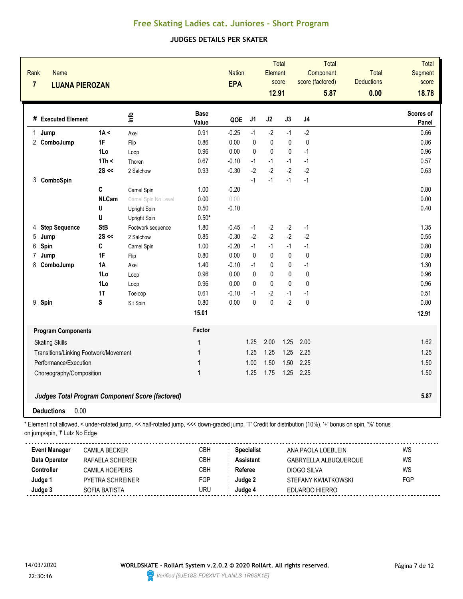#### **JUDGES DETAILS PER SKATER**

| Name<br>Rank<br>$\overline{7}$ | <b>LUANA PIEROZAN</b>                 |                                                                                                                                                          |                      | <b>Nation</b><br><b>EPA</b> |                   | Element<br>12.91 | Total<br>score |                | Total<br>Component<br>score (factored)<br>5.87 | <b>Total</b><br><b>Deductions</b><br>0.00 | Total<br>Segment<br>score<br>18.78 |
|--------------------------------|---------------------------------------|----------------------------------------------------------------------------------------------------------------------------------------------------------|----------------------|-----------------------------|-------------------|------------------|----------------|----------------|------------------------------------------------|-------------------------------------------|------------------------------------|
| # Executed Element             |                                       | lnfo                                                                                                                                                     | <b>Base</b><br>Value | QOE                         | J1                | J2               | J3             | J <sub>4</sub> |                                                |                                           | Scores of<br><b>Panel</b>          |
| Jump<br>1                      | 1A <                                  | Axel                                                                                                                                                     | 0.91                 | $-0.25$                     | $-1$              | $-2$             | $-1$           | $-2$           |                                                |                                           | 0.66                               |
| 2 ComboJump                    | 1F                                    | Flip                                                                                                                                                     | 0.86                 | 0.00                        | 0                 | $\mathbf 0$      | $\mathbf 0$    | $\pmb{0}$      |                                                |                                           | 0.86                               |
|                                | 1Lo                                   | Loop                                                                                                                                                     | 0.96                 | 0.00                        | 0                 | $\mathbf 0$      | 0              | $-1$           |                                                |                                           | 0.96                               |
|                                | 1Th <                                 | Thoren                                                                                                                                                   | 0.67                 | $-0.10$                     | $-1$              | $-1$             | $-1$           | $-1$           |                                                |                                           | 0.57                               |
|                                | $2S \ll$                              | 2 Salchow                                                                                                                                                | 0.93                 | $-0.30$                     | $-2$              | $-2$             | $-2$           | $-2$           |                                                |                                           | 0.63                               |
| 3 ComboSpin                    |                                       |                                                                                                                                                          |                      |                             | $-1$              | $-1$             | $-1$           | $-1$           |                                                |                                           |                                    |
|                                | C                                     | Camel Spin                                                                                                                                               | 1.00                 | $-0.20$                     |                   |                  |                |                |                                                |                                           | 0.80                               |
|                                | <b>NLCam</b>                          | Camel Spin No Level                                                                                                                                      | 0.00                 | 0.00                        |                   |                  |                |                |                                                |                                           | 0.00                               |
|                                | U                                     | Upright Spin                                                                                                                                             | 0.50                 | $-0.10$                     |                   |                  |                |                |                                                |                                           | 0.40                               |
|                                | U                                     | Upright Spin                                                                                                                                             | $0.50*$              |                             |                   |                  |                |                |                                                |                                           |                                    |
| <b>Step Sequence</b><br>4      | <b>StB</b>                            | Footwork sequence                                                                                                                                        | 1.80                 | $-0.45$                     | $-1$              | $-2$             | $-2$           | $-1$           |                                                |                                           | 1.35                               |
| 5<br>Jump                      | $2S \ll$                              | 2 Salchow                                                                                                                                                | 0.85                 | $-0.30$                     | $-2$              | $-2$             | $-2$           | $-2$           |                                                |                                           | 0.55                               |
| 6<br>Spin                      | C                                     | Camel Spin                                                                                                                                               | 1.00                 | $-0.20$                     | $-1$              | $-1$             | $-1$           | $-1$           |                                                |                                           | 0.80                               |
| 7<br>Jump                      | 1F                                    | Flip                                                                                                                                                     | 0.80                 | 0.00                        | $\pmb{0}$         | $\pmb{0}$        | $\pmb{0}$      | $\pmb{0}$      |                                                |                                           | 0.80                               |
| ComboJump<br>8                 | <b>1A</b>                             | Axel                                                                                                                                                     | 1.40                 | $-0.10$                     | $-1$              | $\mathbf 0$      | 0              | $-1$           |                                                |                                           | 1.30                               |
|                                | 1Lo                                   | Loop                                                                                                                                                     | 0.96                 | 0.00                        | 0                 | $\mathbf 0$      | 0              | 0              |                                                |                                           | 0.96                               |
|                                | 1Lo                                   | Loop                                                                                                                                                     | 0.96                 | 0.00                        | 0                 | $\mathbf{0}$     | $\mathbf 0$    | 0              |                                                |                                           | 0.96                               |
|                                | 1T                                    | Toeloop                                                                                                                                                  | 0.61                 | $-0.10$                     | $-1$              | $-2$             | $-1$           | $-1$           |                                                |                                           | 0.51                               |
| 9 Spin                         | S                                     | Sit Spin                                                                                                                                                 | 0.80                 | 0.00                        | 0                 | $\mathbf{0}$     | $-2$           | $\pmb{0}$      |                                                |                                           | 0.80                               |
|                                |                                       |                                                                                                                                                          | 15.01                |                             |                   |                  |                |                |                                                |                                           | 12.91                              |
| <b>Program Components</b>      |                                       |                                                                                                                                                          | Factor               |                             |                   |                  |                |                |                                                |                                           |                                    |
| <b>Skating Skills</b>          |                                       |                                                                                                                                                          | 1                    |                             | 1.25              | 2.00             | 1.25           | 2.00           |                                                |                                           | 1.62                               |
|                                | Transitions/Linking Footwork/Movement |                                                                                                                                                          | 1                    |                             | 1.25              | 1.25             | 1.25           | 2.25           |                                                |                                           | 1.25                               |
| Performance/Execution          |                                       |                                                                                                                                                          | 1                    |                             | 1.00              | 1.50             | 1.50           | 2.25           |                                                |                                           | 1.50                               |
| Choreography/Composition       |                                       |                                                                                                                                                          | 1                    |                             | 1.25              | 1.75             | 1.25           | 2.25           |                                                |                                           | 1.50                               |
|                                |                                       | <b>Judges Total Program Component Score (factored)</b>                                                                                                   |                      |                             |                   |                  |                |                |                                                |                                           | 5.87                               |
| <b>Deductions</b>              | 0.00                                  |                                                                                                                                                          |                      |                             |                   |                  |                |                |                                                |                                           |                                    |
|                                |                                       | * Element not allowed, < under-rotated jump, << half-rotated jump, <<< down-graded jump, 'T' Credit for distribution (10%), '+' bonus on spin, '%' bonus |                      |                             |                   |                  |                |                |                                                |                                           |                                    |
| on jump/spin, "!' Lutz No Edge |                                       |                                                                                                                                                          |                      |                             |                   |                  |                |                |                                                |                                           |                                    |
| <b>Event Manager</b>           | <b>CAMILA BECKER</b>                  |                                                                                                                                                          | CBH                  |                             | <b>Specialist</b> |                  |                |                | ANA PAOLA LOEBLEIN                             |                                           | WS                                 |
| Data Operator                  | RAFAELA SCHERER                       |                                                                                                                                                          | CBH                  |                             | <b>Assistant</b>  |                  |                |                | GABRYELLA ALBUQUERQUE                          |                                           | WS                                 |
| Controller                     | CAMILA HOEPERS                        |                                                                                                                                                          | CBH                  |                             | Referee           |                  |                | DIOGO SILVA    |                                                |                                           | WS                                 |
| Judge 1                        | PYETRA SCHREINER                      |                                                                                                                                                          | FGP                  |                             | Judge 2           |                  |                |                | STEFANY KWIATKOWSKI                            |                                           | FGP                                |
| Judge 3                        | SOFIA BATISTA                         |                                                                                                                                                          | <b>URU</b>           |                             | Judge 4           |                  |                | EDUARDO HIERRO |                                                |                                           |                                    |

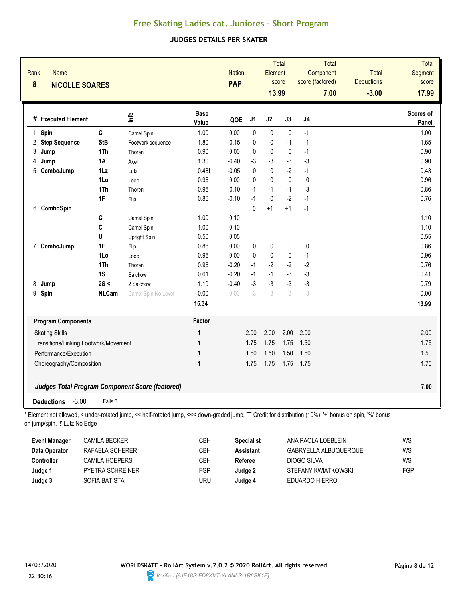#### **JUDGES DETAILS PER SKATER**

| Rank<br><b>Name</b><br>8       | <b>NICOLLE SOARES</b>                 |                                                                                                                                                        |                      | <b>Nation</b><br><b>PAP</b> |                   | Element<br>13.99 | <b>Total</b><br>score | score (factored) | Total<br>Component<br>7.00 | Total<br><b>Deductions</b><br>$-3.00$ | Total<br>Segment<br>score<br>17.99 |
|--------------------------------|---------------------------------------|--------------------------------------------------------------------------------------------------------------------------------------------------------|----------------------|-----------------------------|-------------------|------------------|-----------------------|------------------|----------------------------|---------------------------------------|------------------------------------|
| # Executed Element             |                                       | lnfo                                                                                                                                                   | <b>Base</b><br>Value | QOE                         | J <sub>1</sub>    | J2               | J3                    | J <sub>4</sub>   |                            |                                       | Scores of<br>Panel                 |
| 1 Spin                         | $\mathbf{C}$                          | Camel Spin                                                                                                                                             | 1.00                 | 0.00                        | $\mathbf 0$       | $\pmb{0}$        | $\pmb{0}$             | $-1$             |                            |                                       | 1.00                               |
| 2<br><b>Step Sequence</b>      | <b>StB</b>                            | Footwork sequence                                                                                                                                      | 1.80                 | $-0.15$                     | 0                 | $\pmb{0}$        | $-1$                  | $-1$             |                            |                                       | 1.65                               |
| 3<br>Jump                      | 1Th                                   | Thoren                                                                                                                                                 | 0.90                 | 0.00                        | $\pmb{0}$         | $\pmb{0}$        | $\pmb{0}$             | $-1$             |                            |                                       | 0.90                               |
| 4<br>Jump                      | <b>1A</b>                             | Axel                                                                                                                                                   | 1.30                 | $-0.40$                     | -3                | $-3$             | $-3$                  | $-3$             |                            |                                       | 0.90                               |
| ComboJump<br>5                 | $1\mathsf{L}z$                        | Lutz                                                                                                                                                   | 0.48!                | $-0.05$                     | $\mathbf{0}$      | 0                | $-2$                  | $-1$             |                            |                                       | 0.43                               |
|                                | 1Lo                                   | Loop                                                                                                                                                   | 0.96                 | 0.00                        | $\mathbf{0}$      | $\mathbf{0}$     | $\pmb{0}$             | $\mathbf{0}$     |                            |                                       | 0.96                               |
|                                | 1Th                                   | Thoren                                                                                                                                                 | 0.96                 | $-0.10$                     | $-1$              | $-1$             | $-1$                  | $-3$             |                            |                                       | 0.86                               |
|                                | 1F                                    | Flip                                                                                                                                                   | 0.86                 | $-0.10$                     | $-1$              | $\mathbf 0$      | $-2$                  | $-1$             |                            |                                       | 0.76                               |
| ComboSpin<br>6                 |                                       |                                                                                                                                                        |                      |                             | $\mathbf{0}$      | $+1$             | $+1$                  | $-1$             |                            |                                       |                                    |
|                                | C                                     | Camel Spin                                                                                                                                             | 1.00                 | 0.10                        |                   |                  |                       |                  |                            |                                       | 1.10                               |
|                                | C                                     | Camel Spin                                                                                                                                             | 1.00                 | 0.10                        |                   |                  |                       |                  |                            |                                       | 1.10                               |
|                                | U                                     | Upright Spin                                                                                                                                           | 0.50                 | 0.05                        |                   |                  |                       |                  |                            |                                       | 0.55                               |
| ComboJump<br>$\overline{7}$    | 1F                                    | Flip                                                                                                                                                   | 0.86                 | 0.00                        | 0                 | $\pmb{0}$        | 0                     | 0                |                            |                                       | 0.86                               |
|                                | 1Lo                                   | Loop                                                                                                                                                   | 0.96                 | 0.00                        | $\mathbf 0$       | $\pmb{0}$        | 0                     | $-1$             |                            |                                       | 0.96                               |
|                                | 1Th                                   | Thoren                                                                                                                                                 | 0.96                 | $-0.20$                     | $-1$              | $-2$             | $-2$                  | $-2$             |                            |                                       | 0.76                               |
|                                | 1S                                    | Salchow                                                                                                                                                | 0.61                 | $-0.20$                     | $-1$              | $-1$             | $-3$                  | $-3$             |                            |                                       | 0.41                               |
| 8<br>Jump                      | 2S <                                  | 2 Salchow                                                                                                                                              | 1.19                 | $-0.40$                     | $-3$              | $-3$             | $-3$                  | $-3$             |                            |                                       | 0.79                               |
| 9<br>Spin                      | <b>NLCam</b>                          | Camel Spin No Level                                                                                                                                    | 0.00                 | 0.00                        | $-3$              | $-3$             | $-3$                  | $-3$             |                            |                                       | 0.00                               |
|                                |                                       |                                                                                                                                                        | 15.34                |                             |                   |                  |                       |                  |                            |                                       | 13.99                              |
| <b>Program Components</b>      |                                       |                                                                                                                                                        | Factor               |                             |                   |                  |                       |                  |                            |                                       |                                    |
| <b>Skating Skills</b>          |                                       |                                                                                                                                                        | 1                    |                             | 2.00              | 2.00             | 2.00                  | 2.00             |                            |                                       | 2.00                               |
|                                | Transitions/Linking Footwork/Movement |                                                                                                                                                        | 1                    |                             | 1.75              | 1.75             | 1.75                  | 1.50             |                            |                                       | 1.75                               |
| Performance/Execution          |                                       |                                                                                                                                                        | 1                    |                             | 1.50              | 1.50             | 1.50                  | 1.50             |                            |                                       | 1.50                               |
| Choreography/Composition       |                                       |                                                                                                                                                        | 1                    |                             | 1.75              | 1.75             | 1.75                  | 1.75             |                            |                                       | 1.75                               |
|                                |                                       | Judges Total Program Component Score (factored)                                                                                                        |                      |                             |                   |                  |                       |                  |                            |                                       | 7.00                               |
| <b>Deductions</b>              | $-3.00$<br>Falls:3                    |                                                                                                                                                        |                      |                             |                   |                  |                       |                  |                            |                                       |                                    |
| on jump/spin, "!' Lutz No Edge |                                       | Element not allowed, < under-rotated jump, << half-rotated jump, <<< down-graded jump, 'T' Credit for distribution (10%), '+' bonus on spin, '%' bonus |                      |                             |                   |                  |                       |                  |                            |                                       |                                    |
| <b>Event Manager</b>           | <b>CAMILA BECKER</b>                  |                                                                                                                                                        | CBH                  |                             | <b>Specialist</b> |                  |                       |                  | ANA PAOLA LOEBLEIN         |                                       | WS                                 |
| Data Operator                  | RAFAELA SCHERER                       |                                                                                                                                                        | CBH                  |                             | <b>Assistant</b>  |                  |                       |                  | GABRYELLA ALBUQUERQUE      |                                       | WS                                 |
| Controller                     | CAMILA HOEPERS                        |                                                                                                                                                        | CBH                  |                             | Referee           |                  |                       | DIOGO SILVA      |                            |                                       | WS                                 |
| Judge 1                        | PYETRA SCHREINER                      |                                                                                                                                                        | FGP                  |                             | Judge 2           |                  |                       |                  | STEFANY KWIATKOWSKI        |                                       | FGP                                |



<u>............</u>

**Judge 3** SOFIA BATISTA URU **Judge 4** EDUARDO HIERRO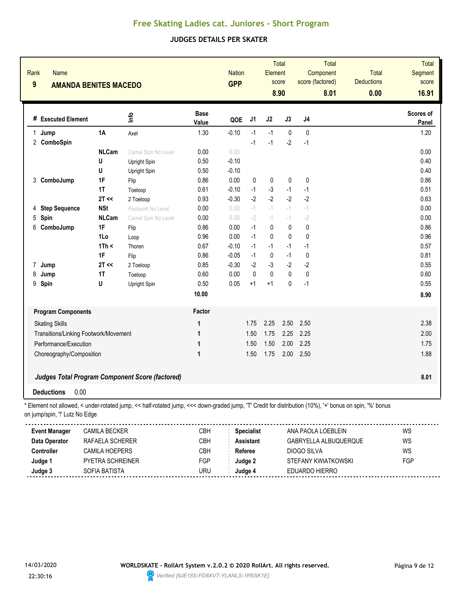### **JUDGES DETAILS PER SKATER**

| Rank<br>$\boldsymbol{9}$ | Name                           | <b>AMANDA BENITES MACEDO</b>          |                                                                                                                                                          |                      | <b>Nation</b><br><b>GPP</b> |                   | Element          | <b>Total</b><br>score<br>8.90 | score (factored) | Total<br>Component<br>8.01 | <b>Total</b><br><b>Deductions</b><br>0.00 | <b>Total</b><br>Segment<br>score<br>16.91 |
|--------------------------|--------------------------------|---------------------------------------|----------------------------------------------------------------------------------------------------------------------------------------------------------|----------------------|-----------------------------|-------------------|------------------|-------------------------------|------------------|----------------------------|-------------------------------------------|-------------------------------------------|
|                          | # Executed Element             |                                       | lnfo                                                                                                                                                     | <b>Base</b><br>Value | QOE                         | J1                | J2               | J3                            | J4               |                            |                                           | Scores of<br>Panel                        |
| $\mathbf 1$              | Jump                           | 1A                                    | Axel                                                                                                                                                     | 1.30                 | $-0.10$                     | $-1$              | $-1$             | $\mathbf 0$                   | $\mathbf{0}$     |                            |                                           | 1.20                                      |
|                          | 2 ComboSpin                    |                                       |                                                                                                                                                          |                      |                             | $-1$              | $-1$             | $-2$                          | $-1$             |                            |                                           |                                           |
|                          |                                | <b>NLCam</b>                          | Camel Spin No Level                                                                                                                                      | 0.00                 | 0.00                        |                   |                  |                               |                  |                            |                                           | 0.00                                      |
|                          |                                | U                                     | Upright Spin                                                                                                                                             | 0.50                 | $-0.10$                     |                   |                  |                               |                  |                            |                                           | 0.40                                      |
|                          |                                | U                                     | Upright Spin                                                                                                                                             | 0.50                 | $-0.10$                     |                   |                  |                               |                  |                            |                                           | 0.40                                      |
|                          | 3 ComboJump                    | 1F<br>1T                              | Flip                                                                                                                                                     | 0.86<br>0.61         | 0.00<br>$-0.10$             | 0<br>$-1$         | 0<br>$-3$        | 0                             | 0                |                            |                                           | 0.86                                      |
|                          |                                | 2T <                                  | Toeloop                                                                                                                                                  | 0.93                 | $-0.30$                     | $-2$              | $-2$             | $-1$<br>$-2$                  | $-1$<br>$-2$     |                            |                                           | 0.51<br>0.63                              |
| 4                        | <b>Step Sequence</b>           | <b>NSt</b>                            | 2 Toeloop<br>Footwork No Level                                                                                                                           | 0.00                 | 0.00                        | $-1$              | $- \, \hat{} \,$ | $-1$                          | $-1$             |                            |                                           | 0.00                                      |
| 5                        | Spin                           | <b>NLCam</b>                          | Camel Spin No Level                                                                                                                                      | 0.00                 | 0.00                        | $-2$              | $- \, \hat{} \,$ | $-1$                          | $-2$             |                            |                                           | 0.00                                      |
| 6                        | ComboJump                      | 1F                                    | Flip                                                                                                                                                     | 0.86                 | 0.00                        | $-1$              | 0                | 0                             | 0                |                            |                                           | 0.86                                      |
|                          |                                | 1Lo                                   | Loop                                                                                                                                                     | 0.96                 | 0.00                        | $-1$              | 0                | $\mathbf 0$                   | $\mathbf{0}$     |                            |                                           | 0.96                                      |
|                          |                                | 1Th <                                 | Thoren                                                                                                                                                   | 0.67                 | $-0.10$                     | $-1$              | $-1$             | $-1$                          | $-1$             |                            |                                           | 0.57                                      |
|                          |                                | 1F                                    | Flip                                                                                                                                                     | 0.86                 | $-0.05$                     | $-1$              | 0                | $-1$                          | 0                |                            |                                           | 0.81                                      |
| 7                        | Jump                           | $2T \ll$                              | 2 Toeloop                                                                                                                                                | 0.85                 | $-0.30$                     | $-2$              | $-3$             | $-2$                          | $-2$             |                            |                                           | 0.55                                      |
| 8                        | Jump                           | <b>1T</b>                             | Toeloop                                                                                                                                                  | 0.60                 | 0.00                        | 0                 | 0                | 0                             | 0                |                            |                                           | 0.60                                      |
| 9                        | Spin                           | U                                     | Upright Spin                                                                                                                                             | 0.50                 | 0.05                        | $+1$              | $+1$             | $\mathbf{0}$                  | $-1$             |                            |                                           | 0.55                                      |
|                          |                                |                                       |                                                                                                                                                          | 10.00                |                             |                   |                  |                               |                  |                            |                                           | 8.90                                      |
|                          | <b>Program Components</b>      |                                       |                                                                                                                                                          | Factor               |                             |                   |                  |                               |                  |                            |                                           |                                           |
|                          | <b>Skating Skills</b>          |                                       |                                                                                                                                                          | 1                    |                             | 1.75              | 2.25             | 2.50                          | 2.50             |                            |                                           | 2.38                                      |
|                          |                                | Transitions/Linking Footwork/Movement |                                                                                                                                                          | 1                    |                             | 1.50              | 1.75             | 2.25                          | 2.25             |                            |                                           | 2.00                                      |
|                          | Performance/Execution          |                                       |                                                                                                                                                          | 1                    |                             | 1.50              | 1.50             | 2.00                          | 2.25             |                            |                                           | 1.75                                      |
|                          | Choreography/Composition       |                                       |                                                                                                                                                          | $\mathbf{1}$         |                             | 1.50              | 1.75             | 2.00                          | 2.50             |                            |                                           | 1.88                                      |
|                          |                                |                                       |                                                                                                                                                          |                      |                             |                   |                  |                               |                  |                            |                                           |                                           |
|                          |                                |                                       | <b>Judges Total Program Component Score (factored)</b>                                                                                                   |                      |                             |                   |                  |                               |                  |                            |                                           | 8.01                                      |
|                          | <b>Deductions</b>              | 0.00                                  |                                                                                                                                                          |                      |                             |                   |                  |                               |                  |                            |                                           |                                           |
|                          | on jump/spin, "!' Lutz No Edge |                                       | * Element not allowed, < under-rotated jump, << half-rotated jump, <<< down-graded jump, 'T' Credit for distribution (10%), '+' bonus on spin, '%' bonus |                      |                             |                   |                  |                               |                  |                            |                                           |                                           |
|                          | <b>Event Manager</b>           | <b>CAMILA BECKER</b>                  |                                                                                                                                                          | CBH                  |                             | <b>Specialist</b> |                  |                               |                  | ANA PAOLA LOEBLEIN         |                                           | WS                                        |
|                          | Data Operator                  | RAFAELA SCHERER                       |                                                                                                                                                          | CBH                  |                             | <b>Assistant</b>  |                  |                               |                  | GABRYELLA ALBUQUERQUE      |                                           | WS                                        |
|                          | Controller                     | CAMILA HOEPERS                        |                                                                                                                                                          | CBH                  |                             | Referee           |                  |                               | DIOGO SILVA      |                            |                                           | WS                                        |
|                          | Judge 1                        | PYETRA SCHREINER                      |                                                                                                                                                          | FGP                  |                             | Judge 2           |                  |                               |                  | STEFANY KWIATKOWSKI        |                                           | FGP                                       |
|                          | Judge 3                        | SOFIA BATISTA                         |                                                                                                                                                          | <b>URU</b>           |                             | Judge 4           |                  |                               | EDUARDO HIERRO   |                            |                                           |                                           |

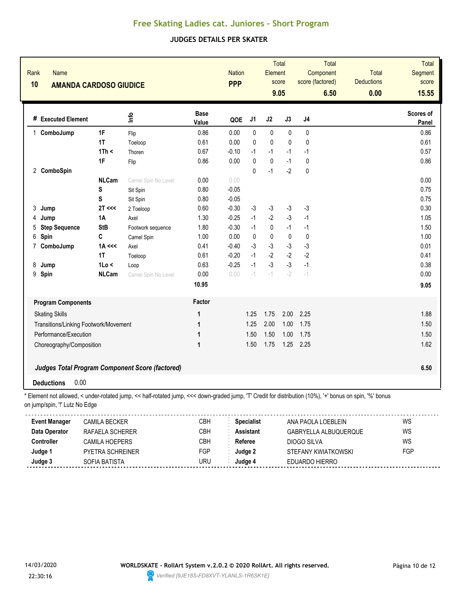### **JUDGES DETAILS PER SKATER**

| Rank<br><b>Name</b><br>10<br><b>AMANDA CARDOSO GIUDICE</b> |              |                                                        |                      | <b>Nation</b><br><b>PPP</b> |              | Element      | <b>Total</b><br>score | score (factored) | <b>Total</b><br>Component | <b>Total</b><br><b>Deductions</b> | <b>Total</b><br><b>Segment</b><br>score |
|------------------------------------------------------------|--------------|--------------------------------------------------------|----------------------|-----------------------------|--------------|--------------|-----------------------|------------------|---------------------------|-----------------------------------|-----------------------------------------|
|                                                            |              |                                                        |                      |                             |              |              | 9.05                  |                  | 6.50                      | 0.00                              | 15.55                                   |
| # Executed Element                                         |              | ٩ų                                                     | <b>Base</b><br>Value | QOE                         | J1           | J2           | J3                    | J <sub>4</sub>   |                           |                                   | <b>Scores of</b><br>Panel               |
| 1 ComboJump                                                | 1F           | Flip                                                   | 0.86                 | 0.00                        | 0            | 0            | 0                     | 0                |                           |                                   | 0.86                                    |
|                                                            | 1T           | Toeloop                                                | 0.61                 | 0.00                        | 0            | $\mathbf{0}$ | $\mathbf{0}$          | $\mathbf{0}$     |                           |                                   | 0.61                                    |
|                                                            | 1Th <        | Thoren                                                 | 0.67                 | $-0.10$                     | $-1$         | $-1$         | $-1$                  | $-1$             |                           |                                   | 0.57                                    |
|                                                            | 1F           | Flip                                                   | 0.86                 | 0.00                        | 0            | 0            | $-1$                  | 0                |                           |                                   | 0.86                                    |
| 2 ComboSpin                                                |              |                                                        |                      |                             | $\mathbf 0$  | $-1$         | $-2$                  | $\pmb{0}$        |                           |                                   |                                         |
|                                                            | <b>NLCam</b> | Camel Spin No Level                                    | 0.00                 | 0.00                        |              |              |                       |                  |                           |                                   | 0.00                                    |
|                                                            | S            | Sit Spin                                               | 0.80                 | $-0.05$                     |              |              |                       |                  |                           |                                   | 0.75                                    |
|                                                            | S            | Sit Spin                                               | 0.80                 | $-0.05$                     |              |              |                       |                  |                           |                                   | 0.75                                    |
| 3<br>Jump                                                  | 2T <<        | 2 Toeloop                                              | 0.60                 | $-0.30$                     | $-3$         | $-3$         | $-3$                  | $-3$             |                           |                                   | 0.30                                    |
| Jump<br>4                                                  | <b>1A</b>    | Axel                                                   | 1.30                 | $-0.25$                     | $-1$         | $-2$         | $-3$                  | $-1$             |                           |                                   | 1.05                                    |
| <b>Step Sequence</b><br>5                                  | <b>StB</b>   | Footwork sequence                                      | 1.80                 | $-0.30$                     | $-1$         | 0            | $-1$                  | $-1$             |                           |                                   | 1.50                                    |
| Spin<br>6                                                  | C            | Camel Spin                                             | 1.00                 | 0.00                        | $\mathbf{0}$ | 0            | $\mathbf 0$           | 0                |                           |                                   | 1.00                                    |
| $\overline{7}$<br>ComboJump                                | $1A \ll $    | Axel                                                   | 0.41                 | $-0.40$                     | $-3$         | $-3$         | $-3$                  | $-3$             |                           |                                   | 0.01                                    |
|                                                            | 1T           | Toeloop                                                | 0.61                 | $-0.20$                     | $-1$         | $-2$         | $-2$                  | $-2$             |                           |                                   | 0.41                                    |
| 8<br>Jump                                                  | 1Lo <        | Loop                                                   | 0.63                 | $-0.25$                     | $-1$         | $-3$         | $-3$                  | $-1$             |                           |                                   | 0.38                                    |
| 9<br>Spin                                                  | <b>NLCam</b> | Camel Spin No Level                                    | 0.00                 | 0.00                        | $-1$         | $-1$         | $-2$                  | $-1$             |                           |                                   | 0.00                                    |
|                                                            |              |                                                        | 10.95                |                             |              |              |                       |                  |                           |                                   | 9.05                                    |
| <b>Program Components</b>                                  |              |                                                        | Factor               |                             |              |              |                       |                  |                           |                                   |                                         |
| <b>Skating Skills</b>                                      |              |                                                        | 1                    |                             | 1.25         | 1.75         | 2.00                  | 2.25             |                           |                                   | 1.88                                    |
| Transitions/Linking Footwork/Movement                      |              |                                                        | 1                    |                             | 1.25         | 2.00         | 1.00                  | 1.75             |                           |                                   | 1.50                                    |
| Performance/Execution                                      |              |                                                        | 1                    |                             | 1.50         | 1.50         | 1.00                  | 1.75             |                           |                                   | 1.50                                    |
| Choreography/Composition                                   |              |                                                        | $\mathbf{1}$         |                             | 1.50         | 1.75         | 1.25                  | 2.25             |                           |                                   | 1.62                                    |
|                                                            |              | <b>Judges Total Program Component Score (factored)</b> |                      |                             |              |              |                       |                  |                           |                                   | 6.50                                    |
| 0.00<br><b>Deductions</b>                                  |              |                                                        |                      |                             |              |              |                       |                  |                           |                                   |                                         |

\* Element not allowed, < under-rotated jump, << half-rotated jump, <<< down-graded jump, 'T' Credit for distribution (10%), '+' bonus on spin, '%' bonus on jump/spin, "!' Lutz No Edge

| <b>Event Manager</b> | CAMILA BECKER    | СВН | <b>Specialist</b> | ANA PAOLA LOEBLEIN    | WS  |
|----------------------|------------------|-----|-------------------|-----------------------|-----|
| Data Operator        | RAFAELA SCHERER  | CBH | Assistant         | GABRYELLA ALBUQUERQUE | WS  |
| Controller           | CAMII A HOFPFRS  | СВН | Referee           | DIOGO SILVA           | WS  |
| Judge 1              | PYETRA SCHREINER | FGP | Judae 2           | STEFANY KWIATKOWSKI   | FGP |
| Judge 3              | SOFIA BATISTA    | URU | Judae 4           | EDUARDO HIERRO        |     |

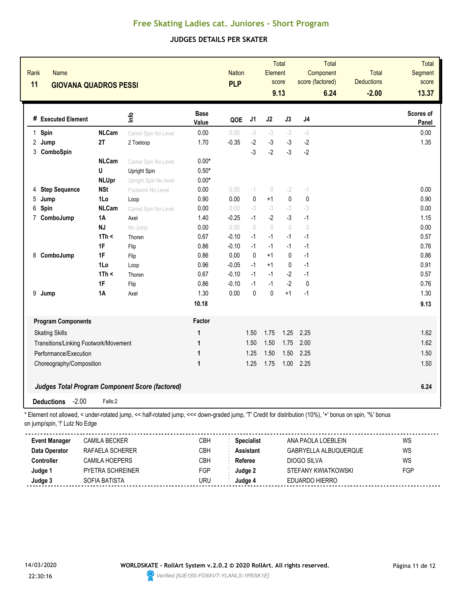### **JUDGES DETAILS PER SKATER**

| Rank<br><b>Name</b><br>11<br><b>GIOVANA QUADROS PESSI</b> |                                       |                      |                                                                                                                                                          | <b>Nation</b><br><b>PLP</b> |         | Total<br>Element<br>score<br>9.13 |             | Total<br>Component<br>score (factored)<br>6.24 |             | Total<br><b>Deductions</b><br>$-2.00$ | <b>Total</b><br>Segment<br>score<br>13.37 |                    |
|-----------------------------------------------------------|---------------------------------------|----------------------|----------------------------------------------------------------------------------------------------------------------------------------------------------|-----------------------------|---------|-----------------------------------|-------------|------------------------------------------------|-------------|---------------------------------------|-------------------------------------------|--------------------|
|                                                           | # Executed Element                    |                      | Info                                                                                                                                                     | <b>Base</b><br>Value        | QOE     | J1                                | J2          | J3                                             | J4          |                                       |                                           | Scores of<br>Panel |
| 1                                                         | Spin                                  | <b>NLCam</b>         | Camel Spin No Level                                                                                                                                      | 0.00                        | 0.00    | $-3$                              | $-3$        | $-3$                                           | $-3$        |                                       |                                           | 0.00               |
|                                                           | 2 Jump                                | 2T                   | 2 Toeloop                                                                                                                                                | 1.70                        | $-0.35$ | $-2$                              | $-3$        | $-3$                                           | $-2$        |                                       |                                           | 1.35               |
| 3                                                         | ComboSpin                             |                      |                                                                                                                                                          |                             |         | $-3$                              | $-2$        | $-3$                                           | $-2$        |                                       |                                           |                    |
|                                                           |                                       | <b>NLCam</b>         | Camel Spin No Level                                                                                                                                      | $0.00*$                     |         |                                   |             |                                                |             |                                       |                                           |                    |
|                                                           |                                       | U                    | Upright Spin                                                                                                                                             | $0.50*$                     |         |                                   |             |                                                |             |                                       |                                           |                    |
|                                                           |                                       | <b>NLUpr</b>         | Upright Spin No level                                                                                                                                    | $0.00*$                     |         |                                   |             |                                                |             |                                       |                                           |                    |
| 4                                                         | <b>Step Sequence</b>                  | <b>NSt</b>           | Footwork No Level                                                                                                                                        | 0.00                        | 0.00    | $-1$                              | $\theta$    | $-2$                                           | $-1$        |                                       |                                           | 0.00               |
| 5                                                         | Jump                                  | 1Lo                  | Loop                                                                                                                                                     | 0.90                        | 0.00    | 0                                 | $+1$        | $\mathbf{0}$                                   | $\pmb{0}$   |                                       |                                           | 0.90               |
| 6                                                         | Spin                                  | <b>NLCam</b>         | Camel Spin No Level                                                                                                                                      | 0.00                        | 0.00    | $-3$                              | $-3$        | $-3$                                           | $-3$        |                                       |                                           | 0.00               |
|                                                           | 7 ComboJump                           | <b>1A</b>            | Axel                                                                                                                                                     | 1.40                        | $-0.25$ | $-1$                              | $-2$        | -3                                             | $-1$        |                                       |                                           | 1.15               |
|                                                           |                                       | <b>NJ</b>            | No Jump                                                                                                                                                  | 0.00                        | 0.00    | $\bigcap$                         | $\bigcirc$  | $\bigcirc$                                     | $\theta$    |                                       |                                           | 0.00               |
|                                                           |                                       | 1Th <                | Thoren                                                                                                                                                   | 0.67                        | $-0.10$ | $-1$                              | $-1$        | $-1$                                           | $-1$        |                                       |                                           | 0.57               |
|                                                           |                                       | 1F                   | Flip                                                                                                                                                     | 0.86                        | $-0.10$ | $-1$                              | $-1$        | $-1$                                           | $-1$        |                                       |                                           | 0.76               |
| 8                                                         | ComboJump                             | 1F                   | Flip                                                                                                                                                     | 0.86                        | 0.00    | $\mathbf{0}$                      | $+1$        | $\pmb{0}$                                      | $-1$        |                                       |                                           | 0.86               |
|                                                           |                                       | 1Lo                  | Loop                                                                                                                                                     | 0.96                        | $-0.05$ | $-1$                              | $+1$        | $\pmb{0}$                                      | $-1$        |                                       |                                           | 0.91               |
|                                                           |                                       | 1Th <                | Thoren                                                                                                                                                   | 0.67                        | $-0.10$ | $-1$                              | $-1$        | $-2$                                           | $-1$        |                                       |                                           | 0.57               |
|                                                           |                                       | 1F                   | Flip                                                                                                                                                     | 0.86                        | $-0.10$ | $-1$                              | $-1$        | $-2$                                           | $\pmb{0}$   |                                       |                                           | 0.76               |
| 9                                                         | Jump                                  | 1A                   | Axel                                                                                                                                                     | 1.30                        | 0.00    | $\mathbf{0}$                      | $\mathbf 0$ | $+1$                                           | $-1$        |                                       |                                           | 1.30               |
|                                                           |                                       |                      |                                                                                                                                                          | 10.18                       |         |                                   |             |                                                |             |                                       |                                           | 9.13               |
|                                                           | <b>Program Components</b>             |                      |                                                                                                                                                          | Factor                      |         |                                   |             |                                                |             |                                       |                                           |                    |
|                                                           | <b>Skating Skills</b>                 |                      |                                                                                                                                                          | 1                           |         | 1.50                              | 1.75        | 1.25                                           | 2.25        |                                       |                                           | 1.62               |
|                                                           | Transitions/Linking Footwork/Movement |                      |                                                                                                                                                          | 1                           |         | 1.50                              | 1.50        | 1.75                                           | 2.00        |                                       |                                           | 1.62               |
|                                                           | Performance/Execution                 |                      |                                                                                                                                                          | 1                           |         | 1.25                              | 1.50        | 1.50                                           | 2.25        |                                       |                                           | 1.50               |
|                                                           | 1<br>Choreography/Composition         |                      |                                                                                                                                                          |                             |         | 1.25                              | 1.75        | 1.00                                           | 2.25        |                                       |                                           | 1.50               |
|                                                           |                                       |                      | Judges Total Program Component Score (factored)                                                                                                          |                             |         |                                   |             |                                                |             |                                       |                                           | 6.24               |
|                                                           | $-2.00$<br><b>Deductions</b>          | Falls:2              |                                                                                                                                                          |                             |         |                                   |             |                                                |             |                                       |                                           |                    |
|                                                           | on jump/spin, "!' Lutz No Edge        |                      | * Element not allowed, < under-rotated jump, << half-rotated jump, <<< down-graded jump, 'T' Credit for distribution (10%), '+' bonus on spin, '%' bonus |                             |         |                                   |             |                                                |             |                                       |                                           |                    |
|                                                           | <b>Event Manager</b>                  | <b>CAMILA BECKER</b> |                                                                                                                                                          | CBH                         |         | <b>Specialist</b>                 |             |                                                |             | ANA PAOLA LOEBLEIN                    |                                           | WS                 |
|                                                           | Data Operator                         | RAFAELA SCHERER      |                                                                                                                                                          | CBH                         |         | <b>Assistant</b>                  |             |                                                |             | GABRYELLA ALBUQUERQUE                 |                                           | WS                 |
|                                                           | Controller                            | CAMILA HOEPERS       |                                                                                                                                                          | CBH                         |         | Referee                           |             |                                                | DIOGO SILVA |                                       |                                           | WS                 |



**Judge 1** PYETRA SCHREINER FGP **Judge 2** STEFANY KWIATKOWSKI FGP

**Judge 3** SOFIA BATISTA URU **Judge 4** EDUARDO HIERRO

. . . . . . . . . . . . . . . .